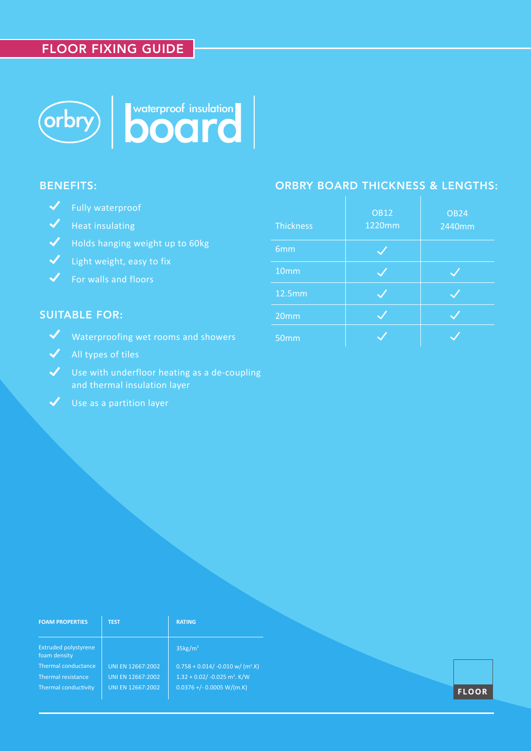# FLOOR FIXING GUIDE



### BENEFITS:

- Fully waterproof
- $\sqrt{\phantom{a}}$  Heat insulating
- Holds hanging weight up to 60kg
- $\bigvee$  Light weight, easy to fix
- $\checkmark$  For walls and floors

# SUITABLE FOR:

- Waterproofing wet rooms and showers
- $\blacktriangleright$  All types of tiles
- Use with underfloor heating as a de-coupling and thermal insulation layer
- $\checkmark$  Use as a partition layer

## ORBRY BOARD THICKNESS & LENGTHS:

| <b>Thickness</b> | <b>OB12</b><br>1220mm | <b>OB24</b><br>2440mm |
|------------------|-----------------------|-----------------------|
| 6mm              |                       |                       |
| 10mm             |                       |                       |
| <b>12.5mm</b>    |                       |                       |
| 20mm             |                       |                       |
| 50mm             |                       |                       |

| <b>FOAM PROPERTIES</b>                      | <b>TEST</b>       | <b>RATING</b>                                  |              |
|---------------------------------------------|-------------------|------------------------------------------------|--------------|
| <b>Extruded polystyrene</b><br>foam density |                   | $35\text{kg/m}^3$                              |              |
| Thermal conductance                         | UNI EN 12667:2002 | $0.758 + 0.014/ -0.010$ w/ (m <sup>2</sup> .K) |              |
| Thermal resistance                          | UNI EN 12667:2002 | $1.32 + 0.02/ -0.025$ m <sup>2</sup> . K/W     |              |
| Thermal conductivity                        | UNI EN 12667:2002 | $0.0376 + (-0.0005 W/(m.K))$                   | <b>FLOOR</b> |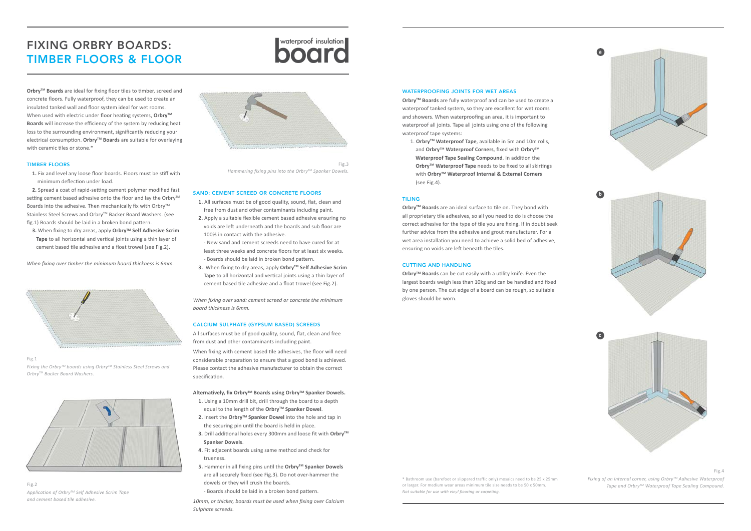#### SAND: CEMENT SCREED OR CONCRETE FLOORS

- **1.** All surfaces must be of good quality, sound, flat, clean and free from dust and other contaminants including paint.
- **2.** Apply a suitable flexible cement based adhesive ensuring no voids are left underneath and the boards and sub floor are 100% in contact with the adhesive.
- New sand and cement screeds need to have cured for at least three weeks and concrete floors for at least six weeks. - Boards should be laid in broken bond pattern.
- **3.** When fixing to dry areas, apply Orbry™ Self Adhesive Scrim  **Tape** to all horizontal and vertical joints using a thin layer of cement based tile adhesive and a float trowel (see Fig.2).

*When fixing over sand: cement screed or concrete the minimum board thickness is 6mm.* 

#### CALCIUM SULPHATE (GYPSUM BASED) SCREEDS

All surfaces must be of good quality, sound, flat, clean and free from dust and other contaminants including paint.

When fixing with cement based tile adhesives, the floor will need considerable preparation to ensure that a good bond is achieved. Please contact the adhesive manufacturer to obtain the correct specification.

#### **Alternatively, fix OrbryTM Boards using OrbryTM Spanker Dowels.**

- **1.** Using a 10mm drill bit, drill through the board to a depth equal to the length of the Orbry<sup>™</sup> Spanker Dowel.
- **2.** Insert the Orbry<sup>™</sup> Spanker Dowel into the hole and tap in the securing pin until the board is held in place.
- **3.** Drill additional holes every 300mm and loose fit with Orbry<sup>™</sup>  **Spanker Dowels**.
- **4.** Fit adjacent boards using same method and check for trueness.
- **5.** Hammer in all fixing pins until the Orbry™ Spanker Dowels are all securely fixed (see Fig.3). Do not over-hammer the dowels or they will crush the boards.

**3.** When fixing to dry areas, apply Orbry<sup>™</sup> Self Adhesive Scrim  **Tape** to all horizontal and vertical joints using a thin layer of cement based tile adhesive and a float trowel (see Fig.2).

- Boards should be laid in a broken bond pattern.

*10mm, or thicker, boards must be used when fixing over Calcium Sulphate screeds.* 

1. Orbry<sup>™</sup> Waterproof Tape, available in 5m and 10m rolls, and Orbry<sup>™</sup> Waterproof Corners, fixed with Orbry<sup>™</sup>  **Waterproof Tape Sealing Compound**. In addition the **OrbryTM Waterproof Tape** needs to be fixed to all skirtings with **OrbryTM Waterproof Internal & External Corners** (see Fig.4).

**Orbry™ Boards** are an ideal surface to tile on. They bond with all proprietary tile adhesives, so all you need to do is choose the correct adhesive for the type of tile you are fixing. If in doubt seek further advice from the adhesive and grout manufacturer. For a wet area installation you need to achieve a solid bed of adhesive, ensuring no voids are left beneath the tiles.

# FIXING ORBRY BOARDS:<br>
TIMBER FLOORS & FLOOR<br>
TIMBER FLOORS & FLOOR

**OrbryTM Boards** are ideal for fixing floor tiles to timber, screed and concrete floors. Fully waterproof, they can be used to create an insulated tanked wall and floor system ideal for wet rooms. When used with electric under floor heating systems, Orbry<sup>™</sup> **Boards** will increase the efficiency of the system by reducing heat loss to the surrounding environment, significantly reducing your electrical consumption. **OrbryTM Boards** are suitable for overlaying with ceramic tiles or stone.\*

> **Orbry™ Boards** can be cut easily with a utility knife. Even the largest boards weigh less than 10kg and can be handled and fixed by one person. The cut edge of a board can be rough, so suitable gloves should be worn.

#### TIMBER FLOORS

 **1.** Fix and level any loose floor boards. Floors must be stiff with minimum deflection under load.

 **2.** Spread a coat of rapid-setting cement polymer modified fast setting cement based adhesive onto the floor and lay the Orbry™ Boards into the adhesive. Then mechanically fix with Orbry<sup>™</sup> Stainless Steel Screws and Orbry<sup>™</sup> Backer Board Washers. (see fig.1) Boards should be laid in a broken bond pattern.

*When fixing over timber the minimum board thickness is 6mm.* 



#### $Fig.1$

\* Bathroom use (barefoot or slippered traffic only) mosaics need to be 25 x 25mm or larger. For medium wear areas minimum tile size needs to be 50 x 50mm. *Not suitable for use with vinyl flooring or carpeting.*

#### WATERPROOFING JOINTS FOR WET AREAS

**OrbryTM Boards** are fully waterproof and can be used to create a waterproof tanked system, so they are excellent for wet rooms and showers. When waterproofing an area, it is important to waterproof all joints. Tape all joints using one of the following waterproof tape systems:

#### TILING

#### CUTTING AND HANDLING

Fig.2 *Application of OrbryTM Self Adhesive Scrim Tape and cement based tile adhesive.*



Fig.3 *Hammering fixing pins into the OrbryTM Spanker Dowels.*

*Fixing the OrbryTM boards using OrbryTM Stainless Steel Screws and OrbryTM Backer Board Washers.*





Fig.4

*Fixing of an internal corner, using OrbryTM Adhesive Waterproof Tape and OrbryTM Waterproof Tape Sealing Compound.*